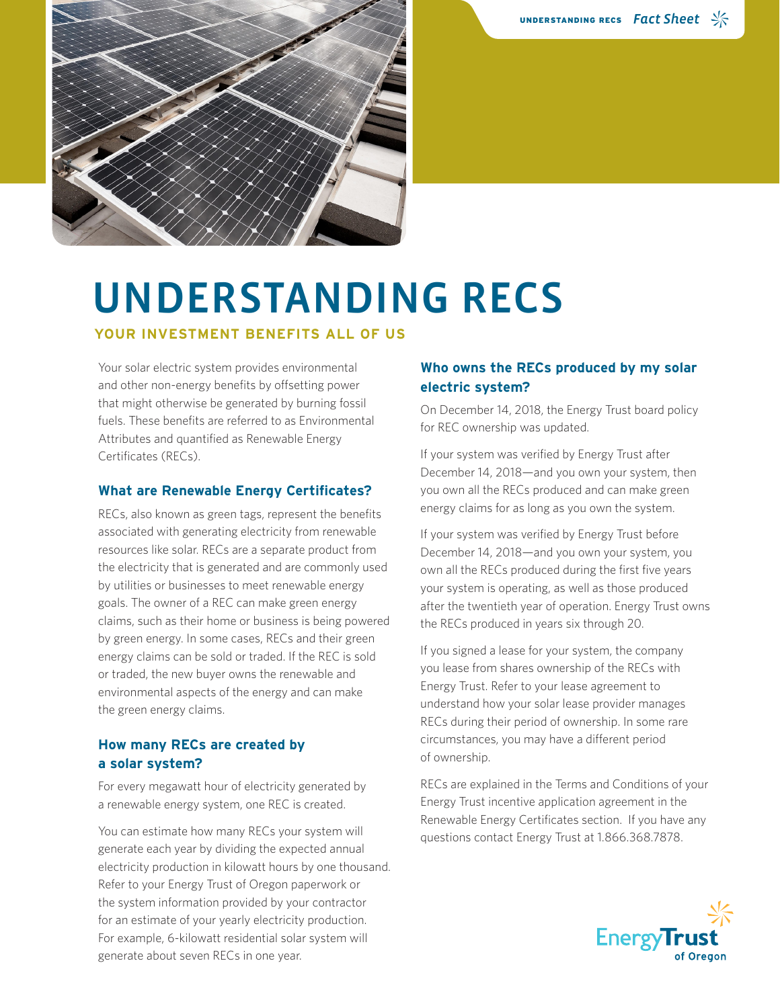

# UNDERSTANDING RECS

#### **YOUR INVESTMENT BENEFITS ALL OF US**

Your solar electric system provides environmental and other non-energy benefits by offsetting power that might otherwise be generated by burning fossil fuels. These benefits are referred to as Environmental Attributes and quantified as Renewable Energy Certificates (RECs).

#### **What are Renewable Energy Certificates?**

RECs, also known as green tags, represent the benefits associated with generating electricity from renewable resources like solar. RECs are a separate product from the electricity that is generated and are commonly used by utilities or businesses to meet renewable energy goals. The owner of a REC can make green energy claims, such as their home or business is being powered by green energy. In some cases, RECs and their green energy claims can be sold or traded. If the REC is sold or traded, the new buyer owns the renewable and environmental aspects of the energy and can make the green energy claims.

#### **How many RECs are created by a solar system?**

For every megawatt hour of electricity generated by a renewable energy system, one REC is created.

You can estimate how many RECs your system will generate each year by dividing the expected annual electricity production in kilowatt hours by one thousand. Refer to your Energy Trust of Oregon paperwork or the system information provided by your contractor for an estimate of your yearly electricity production. For example, 6-kilowatt residential solar system will generate about seven RECs in one year.

### **Who owns the RECs produced by my solar electric system?**

On December 14, 2018, the Energy Trust board policy for REC ownership was updated.

If your system was verified by Energy Trust after December 14, 2018—and you own your system, then you own all the RECs produced and can make green energy claims for as long as you own the system.

If your system was verified by Energy Trust before December 14, 2018—and you own your system, you own all the RECs produced during the first five years your system is operating, as well as those produced after the twentieth year of operation. Energy Trust owns the RECs produced in years six through 20.

If you signed a lease for your system, the company you lease from shares ownership of the RECs with Energy Trust. Refer to your lease agreement to understand how your solar lease provider manages RECs during their period of ownership. In some rare circumstances, you may have a different period of ownership.

RECs are explained in the Terms and Conditions of your Energy Trust incentive application agreement in the Renewable Energy Certificates section. If you have any questions contact Energy Trust at 1.866.368.7878.